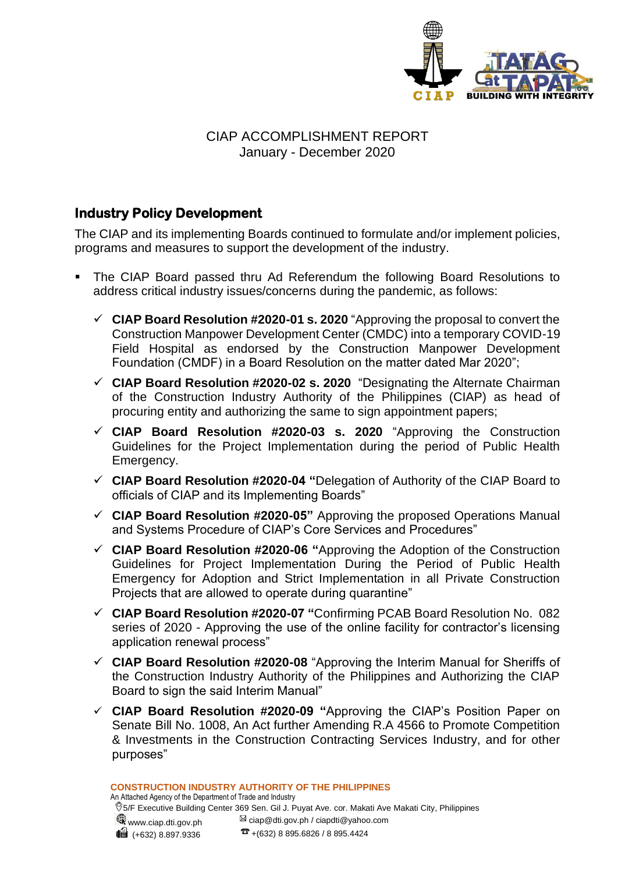

CIAP ACCOMPLISHMENT REPORT January - December 2020

### **Industry Policy Development**

The CIAP and its implementing Boards continued to formulate and/or implement policies, programs and measures to support the development of the industry.

- The CIAP Board passed thru Ad Referendum the following Board Resolutions to address critical industry issues/concerns during the pandemic, as follows:
	- ✓ **CIAP Board Resolution #2020-01 s. 2020** "Approving the proposal to convert the Construction Manpower Development Center (CMDC) into a temporary COVID-19 Field Hospital as endorsed by the Construction Manpower Development Foundation (CMDF) in a Board Resolution on the matter dated Mar 2020";
	- ✓ **CIAP Board Resolution #2020-02 s. 2020** "Designating the Alternate Chairman of the Construction Industry Authority of the Philippines (CIAP) as head of procuring entity and authorizing the same to sign appointment papers;
	- ✓ **CIAP Board Resolution #2020-03 s. 2020** "Approving the Construction Guidelines for the Project Implementation during the period of Public Health Emergency.
	- ✓ **CIAP Board Resolution #2020-04 "**Delegation of Authority of the CIAP Board to officials of CIAP and its Implementing Boards"
	- ✓ **CIAP Board Resolution #2020-05"** Approving the proposed Operations Manual and Systems Procedure of CIAP's Core Services and Procedures"
	- ✓ **CIAP Board Resolution #2020-06 "**Approving the Adoption of the Construction Guidelines for Project Implementation During the Period of Public Health Emergency for Adoption and Strict Implementation in all Private Construction Projects that are allowed to operate during quarantine"
	- ✓ **CIAP Board Resolution #2020-07 "**Confirming PCAB Board Resolution No. 082 series of 2020 - Approving the use of the online facility for contractor's licensing application renewal process"
	- ✓ **CIAP Board Resolution #2020-08** "Approving the Interim Manual for Sheriffs of the Construction Industry Authority of the Philippines and Authorizing the CIAP Board to sign the said Interim Manual"
	- ✓ **CIAP Board Resolution #2020-09 "**Approving the CIAP's Position Paper on Senate Bill No. 1008, An Act further Amending R.A 4566 to Promote Competition & Investments in the Construction Contracting Services Industry, and for other purposes"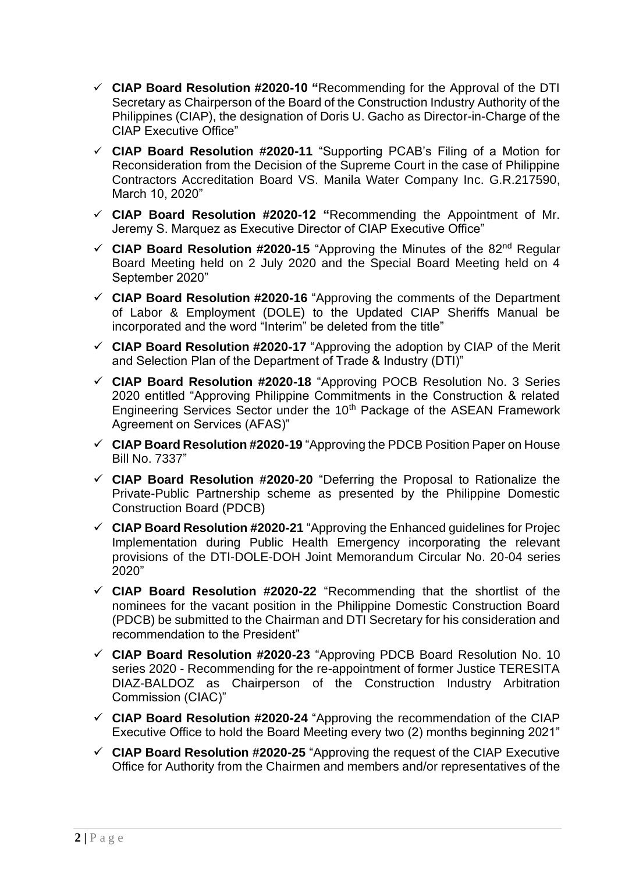- ✓ **CIAP Board Resolution #2020-10 "**Recommending for the Approval of the DTI Secretary as Chairperson of the Board of the Construction Industry Authority of the Philippines (CIAP), the designation of Doris U. Gacho as Director-in-Charge of the CIAP Executive Office"
- ✓ **CIAP Board Resolution #2020-11** "Supporting PCAB's Filing of a Motion for Reconsideration from the Decision of the Supreme Court in the case of Philippine Contractors Accreditation Board VS. Manila Water Company Inc. G.R.217590, March 10, 2020"
- ✓ **CIAP Board Resolution #2020-12 "**Recommending the Appointment of Mr. Jeremy S. Marquez as Executive Director of CIAP Executive Office"
- $\checkmark$  CIAP Board Resolution #2020-15 "Approving the Minutes of the 82<sup>nd</sup> Regular Board Meeting held on 2 July 2020 and the Special Board Meeting held on 4 September 2020"
- ✓ **CIAP Board Resolution #2020-16** "Approving the comments of the Department of Labor & Employment (DOLE) to the Updated CIAP Sheriffs Manual be incorporated and the word "Interim" be deleted from the title"
- ✓ **CIAP Board Resolution #2020-17** "Approving the adoption by CIAP of the Merit and Selection Plan of the Department of Trade & Industry (DTI)"
- ✓ **CIAP Board Resolution #2020-18** "Approving POCB Resolution No. 3 Series 2020 entitled "Approving Philippine Commitments in the Construction & related Engineering Services Sector under the 10<sup>th</sup> Package of the ASEAN Framework Agreement on Services (AFAS)"
- ✓ **CIAP Board Resolution #2020-19** "Approving the PDCB Position Paper on House Bill No. 7337"
- ✓ **CIAP Board Resolution #2020-20** "Deferring the Proposal to Rationalize the Private-Public Partnership scheme as presented by the Philippine Domestic Construction Board (PDCB)
- ✓ **CIAP Board Resolution #2020-21** "Approving the Enhanced guidelines for Projec Implementation during Public Health Emergency incorporating the relevant provisions of the DTI-DOLE-DOH Joint Memorandum Circular No. 20-04 series 2020"
- ✓ **CIAP Board Resolution #2020-22** "Recommending that the shortlist of the nominees for the vacant position in the Philippine Domestic Construction Board (PDCB) be submitted to the Chairman and DTI Secretary for his consideration and recommendation to the President"
- ✓ **CIAP Board Resolution #2020-23** "Approving PDCB Board Resolution No. 10 series 2020 - Recommending for the re-appointment of former Justice TERESITA DIAZ-BALDOZ as Chairperson of the Construction Industry Arbitration Commission (CIAC)"
- ✓ **CIAP Board Resolution #2020-24** "Approving the recommendation of the CIAP Executive Office to hold the Board Meeting every two (2) months beginning 2021"
- ✓ **CIAP Board Resolution #2020-25** "Approving the request of the CIAP Executive Office for Authority from the Chairmen and members and/or representatives of the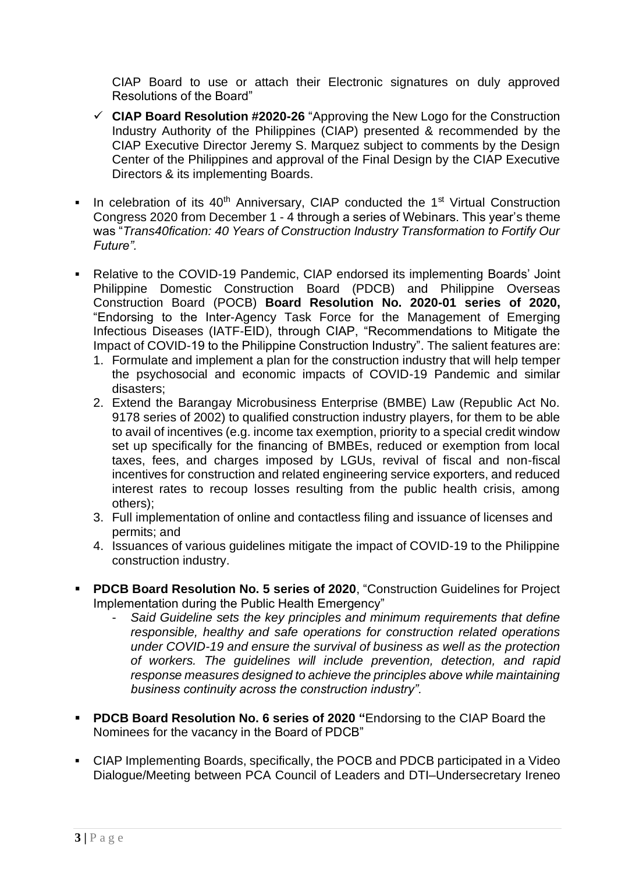CIAP Board to use or attach their Electronic signatures on duly approved Resolutions of the Board"

- ✓ **CIAP Board Resolution #2020-26** "Approving the New Logo for the Construction Industry Authority of the Philippines (CIAP) presented & recommended by the CIAP Executive Director Jeremy S. Marquez subject to comments by the Design Center of the Philippines and approval of the Final Design by the CIAP Executive Directors & its implementing Boards.
- **•** In celebration of its 40<sup>th</sup> Anniversary, CIAP conducted the 1<sup>st</sup> Virtual Construction Congress 2020 from December 1 - 4 through a series of Webinars. This year's theme was "*Trans40fication: 40 Years of Construction Industry Transformation to Fortify Our Future".*
- Relative to the COVID-19 Pandemic, CIAP endorsed its implementing Boards' Joint Philippine Domestic Construction Board (PDCB) and Philippine Overseas Construction Board (POCB) **Board Resolution No. 2020-01 series of 2020,** "Endorsing to the Inter-Agency Task Force for the Management of Emerging Infectious Diseases (IATF-EID), through CIAP, "Recommendations to Mitigate the Impact of COVID-19 to the Philippine Construction Industry". The salient features are:
	- 1. Formulate and implement a plan for the construction industry that will help temper the psychosocial and economic impacts of COVID-19 Pandemic and similar disasters;
	- 2. Extend the Barangay Microbusiness Enterprise (BMBE) Law (Republic Act No. 9178 series of 2002) to qualified construction industry players, for them to be able to avail of incentives (e.g. income tax exemption, priority to a special credit window set up specifically for the financing of BMBEs, reduced or exemption from local taxes, fees, and charges imposed by LGUs, revival of fiscal and non-fiscal incentives for construction and related engineering service exporters, and reduced interest rates to recoup losses resulting from the public health crisis, among others);
	- 3. Full implementation of online and contactless filing and issuance of licenses and permits; and
	- 4. Issuances of various guidelines mitigate the impact of COVID-19 to the Philippine construction industry.
- **PDCB Board Resolution No. 5 series of 2020**, "Construction Guidelines for Project Implementation during the Public Health Emergency"
	- *Said Guideline sets the key principles and minimum requirements that define responsible, healthy and safe operations for construction related operations under COVID-19 and ensure the survival of business as well as the protection of workers. The guidelines will include prevention, detection, and rapid response measures designed to achieve the principles above while maintaining business continuity across the construction industry".*
- **PDCB Board Resolution No. 6 series of 2020 "**Endorsing to the CIAP Board the Nominees for the vacancy in the Board of PDCB"
- CIAP Implementing Boards, specifically, the POCB and PDCB participated in a Video Dialogue/Meeting between PCA Council of Leaders and DTI–Undersecretary Ireneo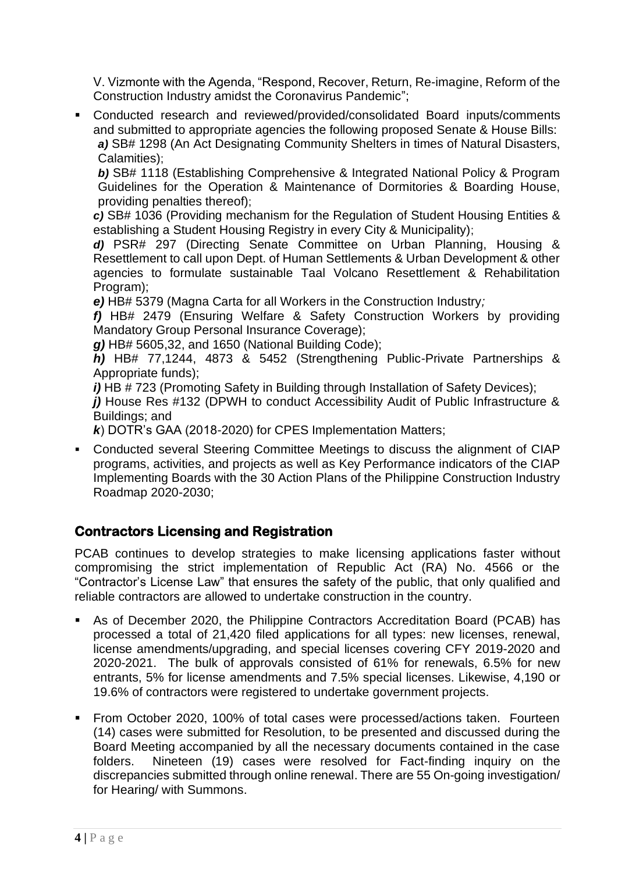V. Vizmonte with the Agenda, "Respond, Recover, Return, Re-imagine, Reform of the Construction Industry amidst the Coronavirus Pandemic";

■ Conducted research and reviewed/provided/consolidated Board inputs/comments and submitted to appropriate agencies the following proposed Senate & House Bills: *a)* SB# 1298 (An Act Designating Community Shelters in times of Natural Disasters, Calamities);

*b)* SB# 1118 (Establishing Comprehensive & Integrated National Policy & Program Guidelines for the Operation & Maintenance of Dormitories & Boarding House, providing penalties thereof);

*c)* SB# 1036 (Providing mechanism for the Regulation of Student Housing Entities & establishing a Student Housing Registry in every City & Municipality);

*d)* PSR# 297 (Directing Senate Committee on Urban Planning, Housing & Resettlement to call upon Dept. of Human Settlements & Urban Development & other agencies to formulate sustainable Taal Volcano Resettlement & Rehabilitation Program);

*e)* HB# 5379 (Magna Carta for all Workers in the Construction Industry*;*

*f)* HB# 2479 (Ensuring Welfare & Safety Construction Workers by providing Mandatory Group Personal Insurance Coverage);

*g)* HB# 5605,32, and 1650 (National Building Code);

*h)* HB# 77,1244, 4873 & 5452 (Strengthening Public-Private Partnerships & Appropriate funds);

*i*) HB # 723 (Promoting Safety in Building through Installation of Safety Devices);

*j)* House Res #132 (DPWH to conduct Accessibility Audit of Public Infrastructure & Buildings; and

*k*) DOTR's GAA (2018-2020) for CPES Implementation Matters;

▪ Conducted several Steering Committee Meetings to discuss the alignment of CIAP programs, activities, and projects as well as Key Performance indicators of the CIAP Implementing Boards with the 30 Action Plans of the Philippine Construction Industry Roadmap 2020-2030;

## **Contractors Licensing and Registration**

PCAB continues to develop strategies to make licensing applications faster without compromising the strict implementation of Republic Act (RA) No. 4566 or the "Contractor's License Law" that ensures the safety of the public, that only qualified and reliable contractors are allowed to undertake construction in the country.

- As of December 2020, the Philippine Contractors Accreditation Board (PCAB) has processed a total of 21,420 filed applications for all types: new licenses, renewal, license amendments/upgrading, and special licenses covering CFY 2019-2020 and 2020-2021. The bulk of approvals consisted of 61% for renewals, 6.5% for new entrants, 5% for license amendments and 7.5% special licenses. Likewise, 4,190 or 19.6% of contractors were registered to undertake government projects.
- From October 2020, 100% of total cases were processed/actions taken. Fourteen (14) cases were submitted for Resolution, to be presented and discussed during the Board Meeting accompanied by all the necessary documents contained in the case folders. Nineteen (19) cases were resolved for Fact-finding inquiry on the discrepancies submitted through online renewal. There are 55 On-going investigation/ for Hearing/ with Summons.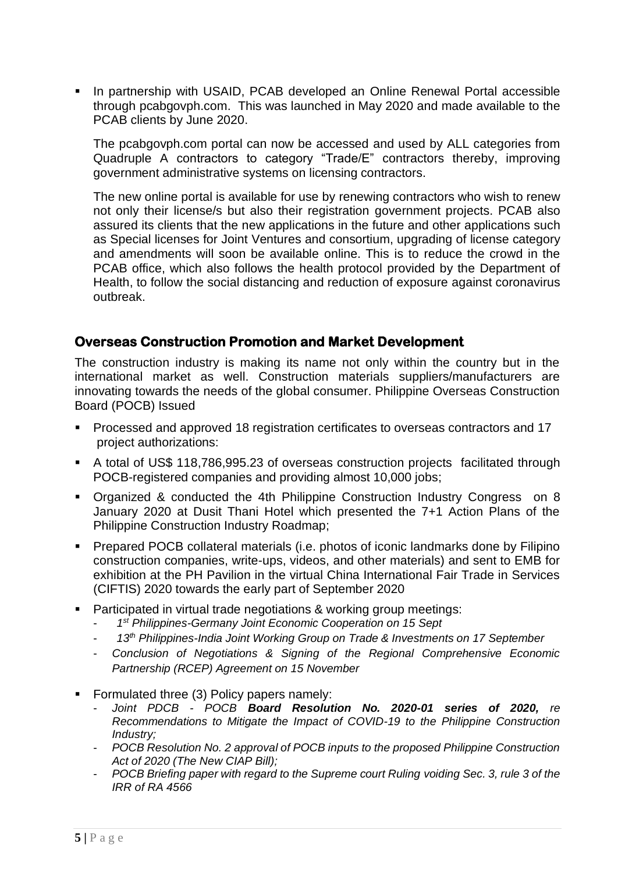■ In partnership with USAID, PCAB developed an Online Renewal Portal accessible through pcabgovph.com. This was launched in May 2020 and made available to the PCAB clients by June 2020.

The pcabgovph.com portal can now be accessed and used by ALL categories from Quadruple A contractors to category "Trade/E" contractors thereby, improving government administrative systems on licensing contractors.

The new online portal is available for use by renewing contractors who wish to renew not only their license/s but also their registration government projects. PCAB also assured its clients that the new applications in the future and other applications such as Special licenses for Joint Ventures and consortium, upgrading of license category and amendments will soon be available online. This is to reduce the crowd in the PCAB office, which also follows the health protocol provided by the Department of Health, to follow the social distancing and reduction of exposure against coronavirus outbreak.

#### **Overseas Construction Promotion and Market Development**

The construction industry is making its name not only within the country but in the international market as well. Construction materials suppliers/manufacturers are innovating towards the needs of the global consumer. Philippine Overseas Construction Board (POCB) Issued

- Processed and approved 18 registration certificates to overseas contractors and 17 project authorizations:
- A total of US\$ 118,786,995.23 of overseas construction projects facilitated through POCB-registered companies and providing almost 10,000 jobs;
- Organized & conducted the 4th Philippine Construction Industry Congress on 8 January 2020 at Dusit Thani Hotel which presented the 7+1 Action Plans of the Philippine Construction Industry Roadmap;
- Prepared POCB collateral materials (i.e. photos of iconic landmarks done by Filipino construction companies, write-ups, videos, and other materials) and sent to EMB for exhibition at the PH Pavilion in the virtual China International Fair Trade in Services (CIFTIS) 2020 towards the early part of September 2020
- Participated in virtual trade negotiations & working group meetings:
	- *1 st Philippines-Germany Joint Economic Cooperation on 15 Sept*
	- *13th Philippines-India Joint Working Group on Trade & Investments on 17 September*
	- *Conclusion of Negotiations & Signing of the Regional Comprehensive Economic Partnership (RCEP) Agreement on 15 November*
- Formulated three (3) Policy papers namely:
	- *Joint PDCB - POCB Board Resolution No. 2020-01 series of 2020, re Recommendations to Mitigate the Impact of COVID-19 to the Philippine Construction Industry;*
	- *POCB Resolution No. 2 approval of POCB inputs to the proposed Philippine Construction Act of 2020 (The New CIAP Bill);*
	- *POCB Briefing paper with regard to the Supreme court Ruling voiding Sec. 3, rule 3 of the IRR of RA 4566*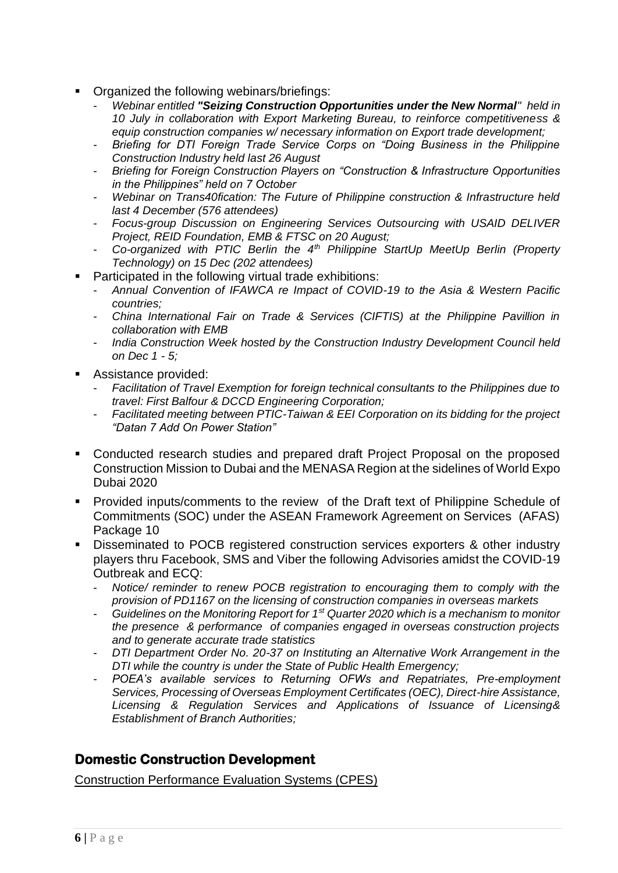- Organized the following webinars/briefings:
	- *Webinar entitled "Seizing Construction Opportunities under the New Normal" held in 10 July in collaboration with Export Marketing Bureau, to reinforce competitiveness & equip construction companies w/ necessary information on Export trade development;*
	- *Briefing for DTI Foreign Trade Service Corps on "Doing Business in the Philippine Construction Industry held last 26 August*
	- *Briefing for Foreign Construction Players on "Construction & Infrastructure Opportunities in the Philippines" held on 7 October*
	- *Webinar on Trans40fication: The Future of Philippine construction & Infrastructure held last 4 December (576 attendees)*
	- *Focus-group Discussion on Engineering Services Outsourcing with USAID DELIVER Project, REID Foundation, EMB & FTSC on 20 August;*
	- *Co-organized with PTIC Berlin the 4th Philippine StartUp MeetUp Berlin (Property Technology) on 15 Dec (202 attendees)*
- **Participated in the following virtual trade exhibitions:** 
	- *Annual Convention of IFAWCA re Impact of COVID-19 to the Asia & Western Pacific countries;*
	- *China International Fair on Trade & Services (CIFTIS) at the Philippine Pavillion in collaboration with EMB*
	- *India Construction Week hosted by the Construction Industry Development Council held on Dec 1 - 5;*
- Assistance provided:
	- *Facilitation of Travel Exemption for foreign technical consultants to the Philippines due to travel: First Balfour & DCCD Engineering Corporation;*
	- *Facilitated meeting between PTIC-Taiwan & EEI Corporation on its bidding for the project "Datan 7 Add On Power Station"*
- Conducted research studies and prepared draft Project Proposal on the proposed Construction Mission to Dubai and the MENASA Region at the sidelines of World Expo Dubai 2020
- Provided inputs/comments to the review of the Draft text of Philippine Schedule of Commitments (SOC) under the ASEAN Framework Agreement on Services (AFAS) Package 10
- Disseminated to POCB registered construction services exporters & other industry players thru Facebook, SMS and Viber the following Advisories amidst the COVID-19 Outbreak and ECQ:
	- *Notice/ reminder to renew POCB registration to encouraging them to comply with the provision of PD1167 on the licensing of construction companies in overseas markets*
	- *Guidelines on the Monitoring Report for 1st Quarter 2020 which is a mechanism to monitor the presence & performance of companies engaged in overseas construction projects and to generate accurate trade statistics*
	- *DTI Department Order No. 20-37 on Instituting an Alternative Work Arrangement in the DTI while the country is under the State of Public Health Emergency;*
	- *POEA's available services to Returning OFWs and Repatriates, Pre-employment Services, Processing of Overseas Employment Certificates (OEC), Direct-hire Assistance, Licensing & Regulation Services and Applications of Issuance of Licensing& Establishment of Branch Authorities;*

#### **Domestic Construction Development**

Construction Performance Evaluation Systems (CPES)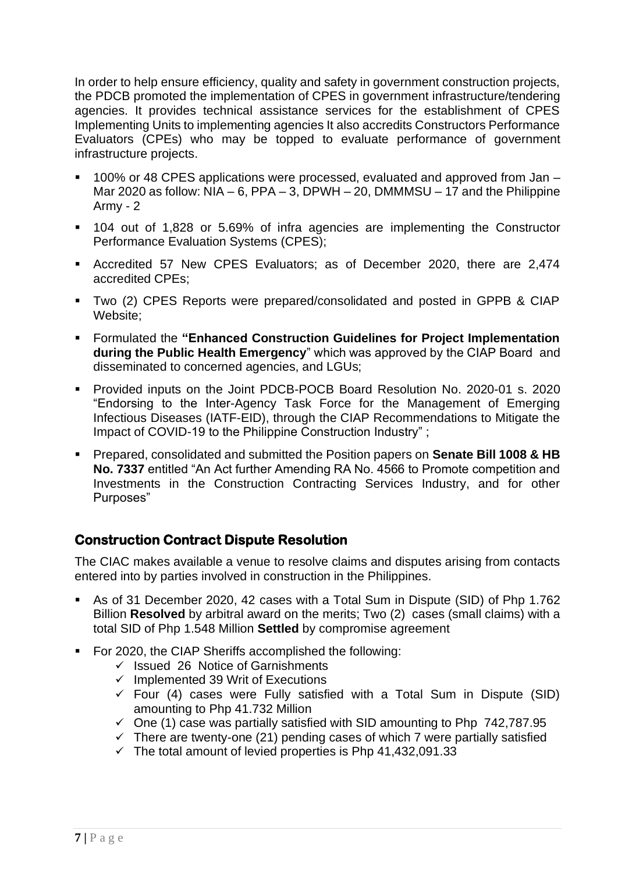In order to help ensure efficiency, quality and safety in government construction projects, the PDCB promoted the implementation of CPES in government infrastructure/tendering agencies. It provides technical assistance services for the establishment of CPES Implementing Units to implementing agencies It also accredits Constructors Performance Evaluators (CPEs) who may be topped to evaluate performance of government infrastructure projects.

- 100% or 48 CPES applications were processed, evaluated and approved from Jan Mar 2020 as follow:  $NIA - 6$ , PPA – 3, DPWH – 20, DMMMSU – 17 and the Philippine Army - 2
- 104 out of 1,828 or 5.69% of infra agencies are implementing the Constructor Performance Evaluation Systems (CPES);
- Accredited 57 New CPES Evaluators; as of December 2020, there are 2,474 accredited CPEs;
- Two (2) CPES Reports were prepared/consolidated and posted in GPPB & CIAP Website;
- Formulated the **"Enhanced Construction Guidelines for Project Implementation during the Public Health Emergency**" which was approved by the CIAP Board and disseminated to concerned agencies, and LGUs;
- Provided inputs on the Joint PDCB-POCB Board Resolution No. 2020-01 s. 2020 "Endorsing to the Inter-Agency Task Force for the Management of Emerging Infectious Diseases (IATF-EID), through the CIAP Recommendations to Mitigate the Impact of COVID-19 to the Philippine Construction Industry" ;
- Prepared, consolidated and submitted the Position papers on **Senate Bill 1008 & HB No. 7337** entitled "An Act further Amending RA No. 4566 to Promote competition and Investments in the Construction Contracting Services Industry, and for other Purposes"

#### **Construction Contract Dispute Resolution**

The CIAC makes available a venue to resolve claims and disputes arising from contacts entered into by parties involved in construction in the Philippines.

- As of 31 December 2020, 42 cases with a Total Sum in Dispute (SID) of Php 1.762 Billion **Resolved** by arbitral award on the merits; Two (2) cases (small claims) with a total SID of Php 1.548 Million **Settled** by compromise agreement
- For 2020, the CIAP Sheriffs accomplished the following:
	- $\checkmark$  Issued 26 Notice of Garnishments
	- $\checkmark$  Implemented 39 Writ of Executions
	- $\checkmark$  Four (4) cases were Fully satisfied with a Total Sum in Dispute (SID) amounting to Php 41.732 Million
	- $\checkmark$  One (1) case was partially satisfied with SID amounting to Php 742,787.95
	- $\checkmark$  There are twenty-one (21) pending cases of which 7 were partially satisfied
	- $\checkmark$  The total amount of levied properties is Php 41,432,091.33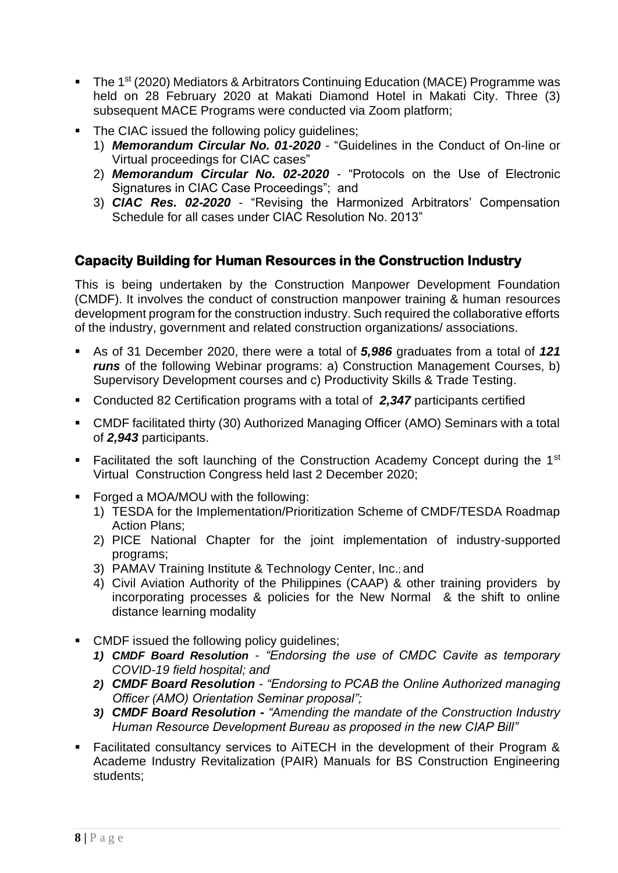- The 1<sup>st</sup> (2020) Mediators & Arbitrators Continuing Education (MACE) Programme was held on 28 February 2020 at Makati Diamond Hotel in Makati City. Three (3) subsequent MACE Programs were conducted via Zoom platform;
- The CIAC issued the following policy quidelines;
	- 1) *Memorandum Circular No. 01-2020* "Guidelines in the Conduct of On-line or Virtual proceedings for CIAC cases"
	- 2) *Memorandum Circular No. 02-2020* "Protocols on the Use of Electronic Signatures in CIAC Case Proceedings"; and
	- 3) *CIAC Res. 02-2020* "Revising the Harmonized Arbitrators' Compensation Schedule for all cases under CIAC Resolution No. 2013"

## **Capacity Building for Human Resources in the Construction Industry**

This is being undertaken by the Construction Manpower Development Foundation (CMDF). It involves the conduct of construction manpower training & human resources development program for the construction industry. Such required the collaborative efforts of the industry, government and related construction organizations/ associations.

- As of 31 December 2020, there were a total of *5,986* graduates from a total of *121 runs* of the following Webinar programs: a) Construction Management Courses, b) Supervisory Development courses and c) Productivity Skills & Trade Testing.
- Conducted 82 Certification programs with a total of 2,347 participants certified
- CMDF facilitated thirty (30) Authorized Managing Officer (AMO) Seminars with a total of *2,943* participants.
- Facilitated the soft launching of the Construction Academy Concept during the 1<sup>st</sup> Virtual Construction Congress held last 2 December 2020;
- Forged a MOA/MOU with the following:
	- 1) TESDA for the Implementation/Prioritization Scheme of CMDF/TESDA Roadmap Action Plans;
	- 2) PICE National Chapter for the joint implementation of industry-supported programs;
	- 3) PAMAV Training Institute & Technology Center, Inc.; and
	- 4) Civil Aviation Authority of the Philippines (CAAP) & other training providers by incorporating processes & policies for the New Normal & the shift to online distance learning modality
- CMDF issued the following policy guidelines;
	- *1) CMDF Board Resolution "Endorsing the use of CMDC Cavite as temporary COVID-19 field hospital; and*
	- *2) CMDF Board Resolution - "Endorsing to PCAB the Online Authorized managing Officer (AMO) Orientation Seminar proposal";*
	- *3) CMDF Board Resolution - "Amending the mandate of the Construction Industry Human Resource Development Bureau as proposed in the new CIAP Bill"*
- Facilitated consultancy services to AiTECH in the development of their Program & Academe Industry Revitalization (PAIR) Manuals for BS Construction Engineering students;